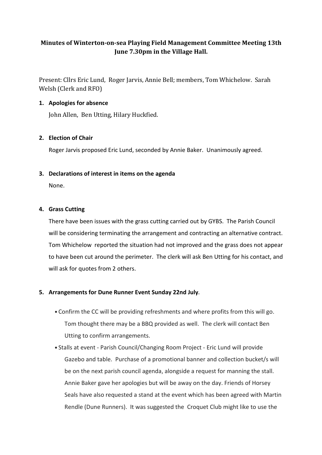# Minutes of Winterton-on-sea Playing Field Management Committee Meeting 13th June 7.30pm in the Village Hall.

Present: Cllrs Eric Lund, Roger Jarvis, Annie Bell; members, Tom Whichelow. Sarah Welsh (Clerk and RFO)

# 1. Apologies for absence

John Allen, Ben Utting, Hilary Huckfied.

# 2. Election of Chair

Roger Jarvis proposed Eric Lund, seconded by Annie Baker. Unanimously agreed.

# 3. Declarations of interest in items on the agenda

None.

#### 4. Grass Cutting

There have been issues with the grass cutting carried out by GYBS. The Parish Council will be considering terminating the arrangement and contracting an alternative contract. Tom Whichelow reported the situation had not improved and the grass does not appear to have been cut around the perimeter. The clerk will ask Ben Utting for his contact, and will ask for quotes from 2 others.

# 5. Arrangements for Dune Runner Event Sunday 22nd July**.**

- Confirm the CC will be providing refreshments and where profits from this will go. Tom thought there may be a BBQ provided as well. The clerk will contact Ben Utting to confirm arrangements.
- Stalls at event Parish Council/Changing Room Project Eric Lund will provide Gazebo and table. Purchase of a promotional banner and collection bucket/s will be on the next parish council agenda, alongside a request for manning the stall. Annie Baker gave her apologies but will be away on the day. Friends of Horsey Seals have also requested a stand at the event which has been agreed with Martin Rendle (Dune Runners). It was suggested the Croquet Club might like to use the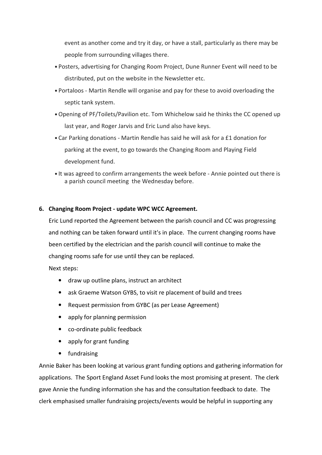event as another come and try it day, or have a stall, particularly as there may be people from surrounding villages there.

- Posters, advertising for Changing Room Project, Dune Runner Event will need to be distributed, put on the website in the Newsletter etc.
- Portaloos Martin Rendle will organise and pay for these to avoid overloading the septic tank system.
- Opening of PF/Toilets/Pavilion etc. Tom Whichelow said he thinks the CC opened up last year, and Roger Jarvis and Eric Lund also have keys.
- Car Parking donations Martin Rendle has said he will ask for a £1 donation for parking at the event, to go towards the Changing Room and Playing Field development fund.
- It was agreed to confirm arrangements the week before Annie pointed out there is a parish council meeting the Wednesday before.

# 6. Changing Room Project - update WPC WCC Agreement.

Eric Lund reported the Agreement between the parish council and CC was progressing and nothing can be taken forward until it's in place. The current changing rooms have been certified by the electrician and the parish council will continue to make the changing rooms safe for use until they can be replaced.

Next steps:

- draw up outline plans, instruct an architect
- ask Graeme Watson GYBS, to visit re placement of build and trees
- Request permission from GYBC (as per Lease Agreement)
- apply for planning permission
- co-ordinate public feedback
- apply for grant funding
- fundraising

Annie Baker has been looking at various grant funding options and gathering information for applications. The Sport England Asset Fund looks the most promising at present. The clerk gave Annie the funding information she has and the consultation feedback to date. The clerk emphasised smaller fundraising projects/events would be helpful in supporting any